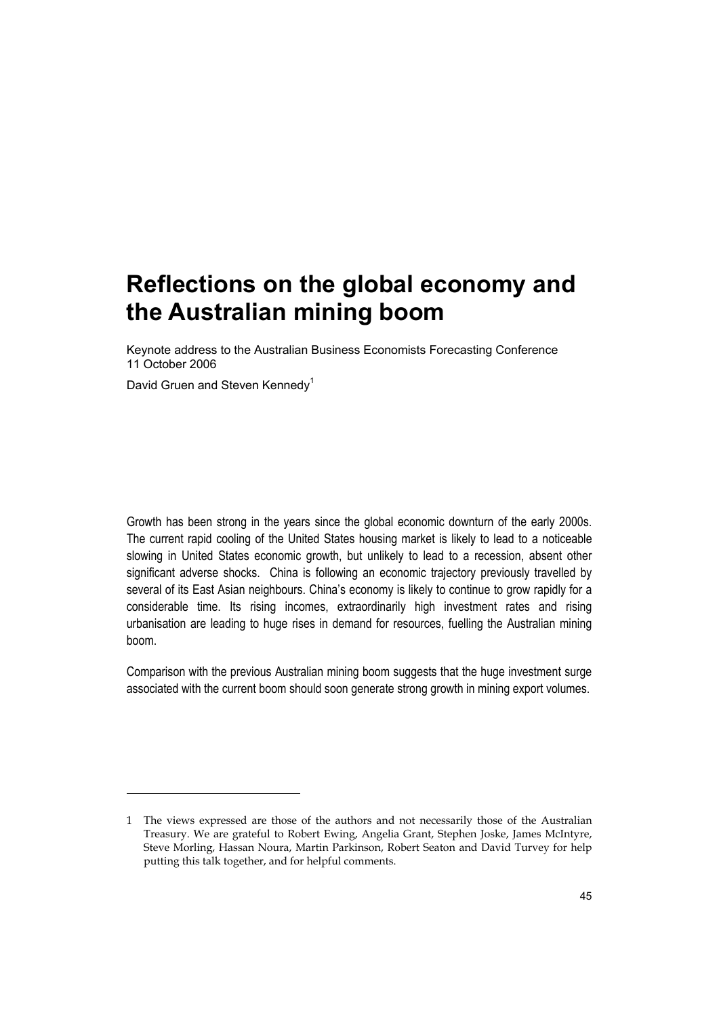Keynote address to the Australian Business Economists Forecasting Conference 11 October 2006

David Gruen and Steven Kennedy<sup>1</sup>

-

Growth has been strong in the years since the global economic downturn of the early 2000s. The current rapid cooling of the United States housing market is likely to lead to a noticeable slowing in United States economic growth, but unlikely to lead to a recession, absent other significant adverse shocks. China is following an economic trajectory previously travelled by several of its East Asian neighbours. China's economy is likely to continue to grow rapidly for a considerable time. Its rising incomes, extraordinarily high investment rates and rising urbanisation are leading to huge rises in demand for resources, fuelling the Australian mining boom.

Comparison with the previous Australian mining boom suggests that the huge investment surge associated with the current boom should soon generate strong growth in mining export volumes.

<sup>1</sup> The views expressed are those of the authors and not necessarily those of the Australian Treasury. We are grateful to Robert Ewing, Angelia Grant, Stephen Joske, James McIntyre, Steve Morling, Hassan Noura, Martin Parkinson, Robert Seaton and David Turvey for help putting this talk together, and for helpful comments.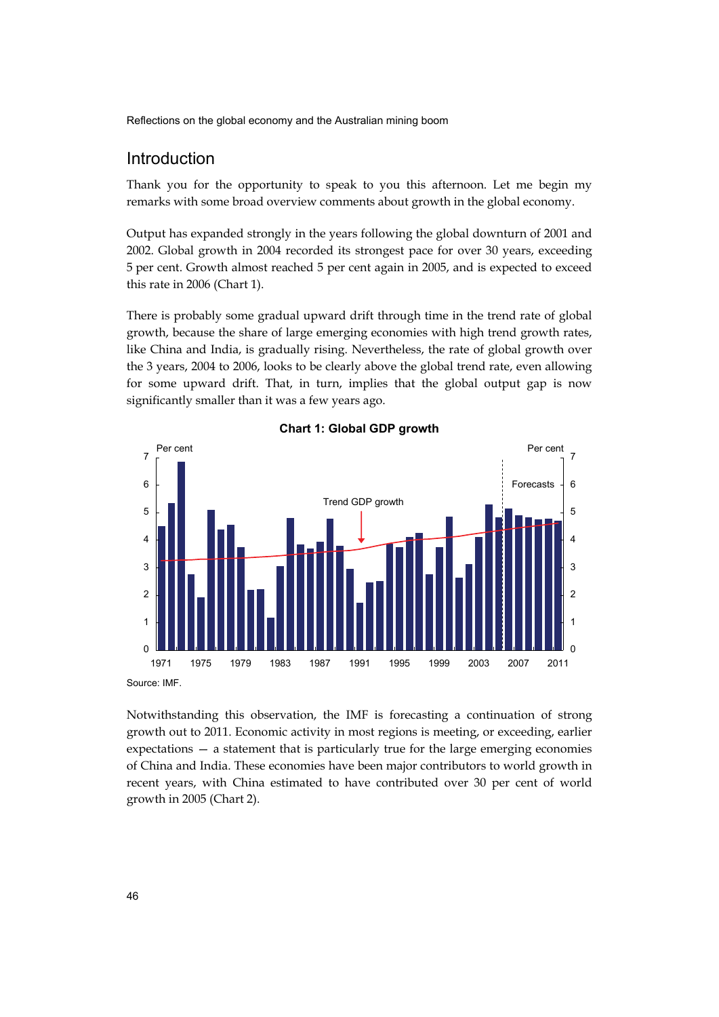## Introduction

Thank you for the opportunity to speak to you this afternoon. Let me begin my remarks with some broad overview comments about growth in the global economy.

Output has expanded strongly in the years following the global downturn of 2001 and 2002. Global growth in 2004 recorded its strongest pace for over 30 years, exceeding 5 per cent. Growth almost reached 5 per cent again in 2005, and is expected to exceed this rate in 2006 (Chart 1).

There is probably some gradual upward drift through time in the trend rate of global growth, because the share of large emerging economies with high trend growth rates, like China and India, is gradually rising. Nevertheless, the rate of global growth over the 3 years, 2004 to 2006, looks to be clearly above the global trend rate, even allowing for some upward drift. That, in turn, implies that the global output gap is now significantly smaller than it was a few years ago.



**Chart 1: Global GDP growth** 

Source: IMF.

Notwithstanding this observation, the IMF is forecasting a continuation of strong growth out to 2011. Economic activity in most regions is meeting, or exceeding, earlier expectations — a statement that is particularly true for the large emerging economies of China and India. These economies have been major contributors to world growth in recent years, with China estimated to have contributed over 30 per cent of world growth in 2005 (Chart 2).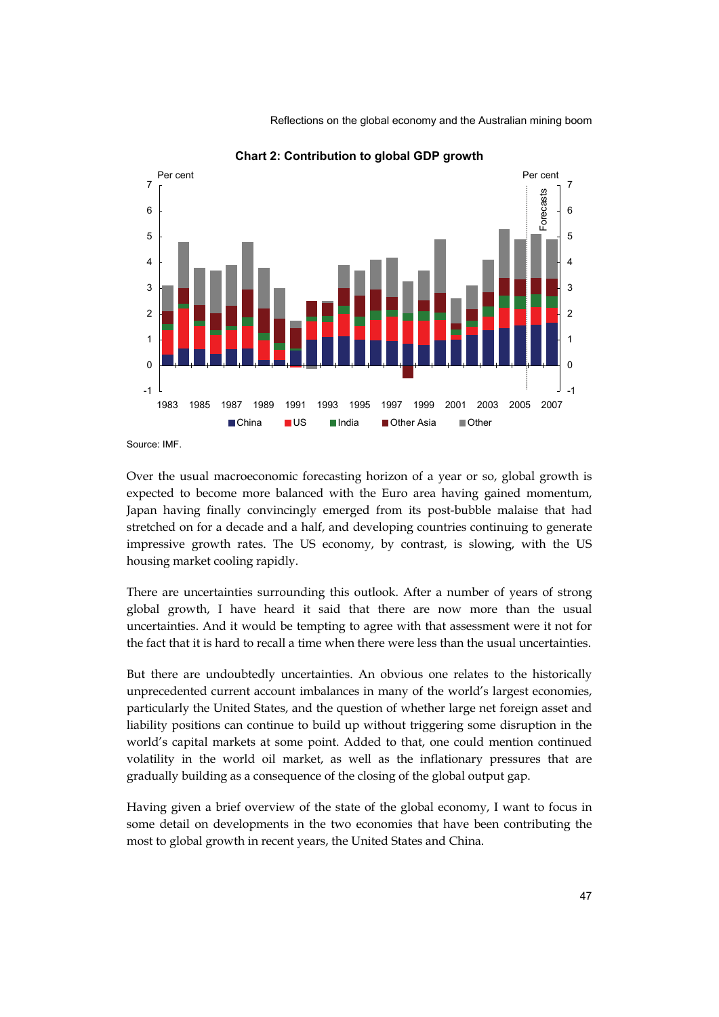

**Chart 2: Contribution to global GDP growth** 

Source: IMF.

Over the usual macroeconomic forecasting horizon of a year or so, global growth is expected to become more balanced with the Euro area having gained momentum, Japan having finally convincingly emerged from its post-bubble malaise that had stretched on for a decade and a half, and developing countries continuing to generate impressive growth rates. The US economy, by contrast, is slowing, with the US housing market cooling rapidly.

There are uncertainties surrounding this outlook. After a number of years of strong global growth, I have heard it said that there are now more than the usual uncertainties. And it would be tempting to agree with that assessment were it not for the fact that it is hard to recall a time when there were less than the usual uncertainties.

But there are undoubtedly uncertainties. An obvious one relates to the historically unprecedented current account imbalances in many of the world's largest economies, particularly the United States, and the question of whether large net foreign asset and liability positions can continue to build up without triggering some disruption in the world's capital markets at some point. Added to that, one could mention continued volatility in the world oil market, as well as the inflationary pressures that are gradually building as a consequence of the closing of the global output gap.

Having given a brief overview of the state of the global economy, I want to focus in some detail on developments in the two economies that have been contributing the most to global growth in recent years, the United States and China.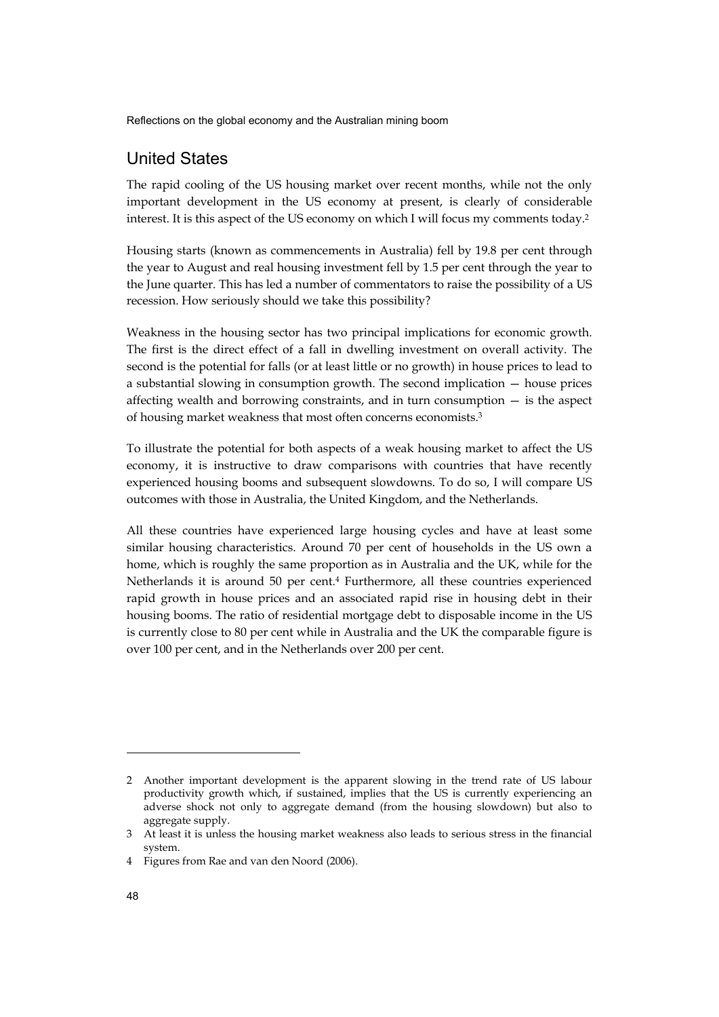## United States

The rapid cooling of the US housing market over recent months, while not the only important development in the US economy at present, is clearly of considerable interest. It is this aspect of the US economy on which I will focus my comments today.2

Housing starts (known as commencements in Australia) fell by 19.8 per cent through the year to August and real housing investment fell by 1.5 per cent through the year to the June quarter. This has led a number of commentators to raise the possibility of a US recession. How seriously should we take this possibility?

Weakness in the housing sector has two principal implications for economic growth. The first is the direct effect of a fall in dwelling investment on overall activity. The second is the potential for falls (or at least little or no growth) in house prices to lead to a substantial slowing in consumption growth. The second implication — house prices affecting wealth and borrowing constraints, and in turn consumption — is the aspect of housing market weakness that most often concerns economists.3

To illustrate the potential for both aspects of a weak housing market to affect the US economy, it is instructive to draw comparisons with countries that have recently experienced housing booms and subsequent slowdowns. To do so, I will compare US outcomes with those in Australia, the United Kingdom, and the Netherlands.

All these countries have experienced large housing cycles and have at least some similar housing characteristics. Around 70 per cent of households in the US own a home, which is roughly the same proportion as in Australia and the UK, while for the Netherlands it is around 50 per cent.4 Furthermore, all these countries experienced rapid growth in house prices and an associated rapid rise in housing debt in their housing booms. The ratio of residential mortgage debt to disposable income in the US is currently close to 80 per cent while in Australia and the UK the comparable figure is over 100 per cent, and in the Netherlands over 200 per cent.

j

<sup>2</sup> Another important development is the apparent slowing in the trend rate of US labour productivity growth which, if sustained, implies that the US is currently experiencing an adverse shock not only to aggregate demand (from the housing slowdown) but also to aggregate supply.

<sup>3</sup> At least it is unless the housing market weakness also leads to serious stress in the financial system.

<sup>4</sup> Figures from Rae and van den Noord (2006).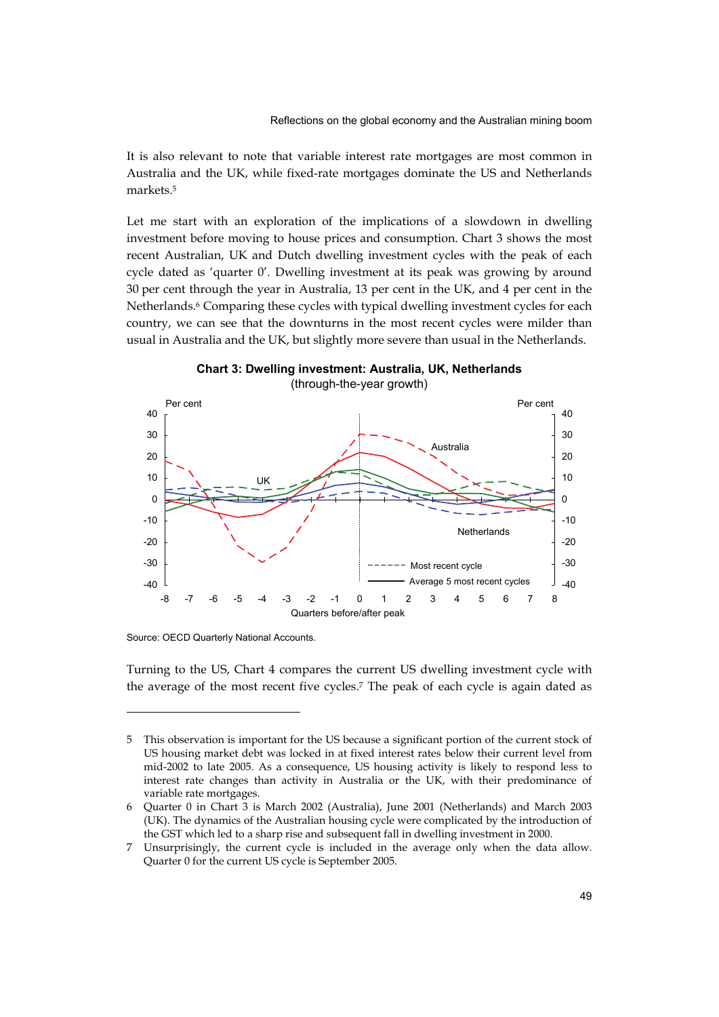It is also relevant to note that variable interest rate mortgages are most common in Australia and the UK, while fixed-rate mortgages dominate the US and Netherlands markets.5

Let me start with an exploration of the implications of a slowdown in dwelling investment before moving to house prices and consumption. Chart 3 shows the most recent Australian, UK and Dutch dwelling investment cycles with the peak of each cycle dated as 'quarter 0'. Dwelling investment at its peak was growing by around 30 per cent through the year in Australia, 13 per cent in the UK, and 4 per cent in the Netherlands.6 Comparing these cycles with typical dwelling investment cycles for each country, we can see that the downturns in the most recent cycles were milder than usual in Australia and the UK, but slightly more severe than usual in the Netherlands.



**Chart 3: Dwelling investment: Australia, UK, Netherlands**  (through-the-year growth)

Source: OECD Quarterly National Accounts.

-

Turning to the US, Chart 4 compares the current US dwelling investment cycle with the average of the most recent five cycles.7 The peak of each cycle is again dated as

<sup>5</sup> This observation is important for the US because a significant portion of the current stock of US housing market debt was locked in at fixed interest rates below their current level from mid-2002 to late 2005. As a consequence, US housing activity is likely to respond less to interest rate changes than activity in Australia or the UK, with their predominance of variable rate mortgages.

<sup>6</sup> Quarter 0 in Chart 3 is March 2002 (Australia), June 2001 (Netherlands) and March 2003 (UK). The dynamics of the Australian housing cycle were complicated by the introduction of the GST which led to a sharp rise and subsequent fall in dwelling investment in 2000.

<sup>7</sup> Unsurprisingly, the current cycle is included in the average only when the data allow. Quarter 0 for the current US cycle is September 2005.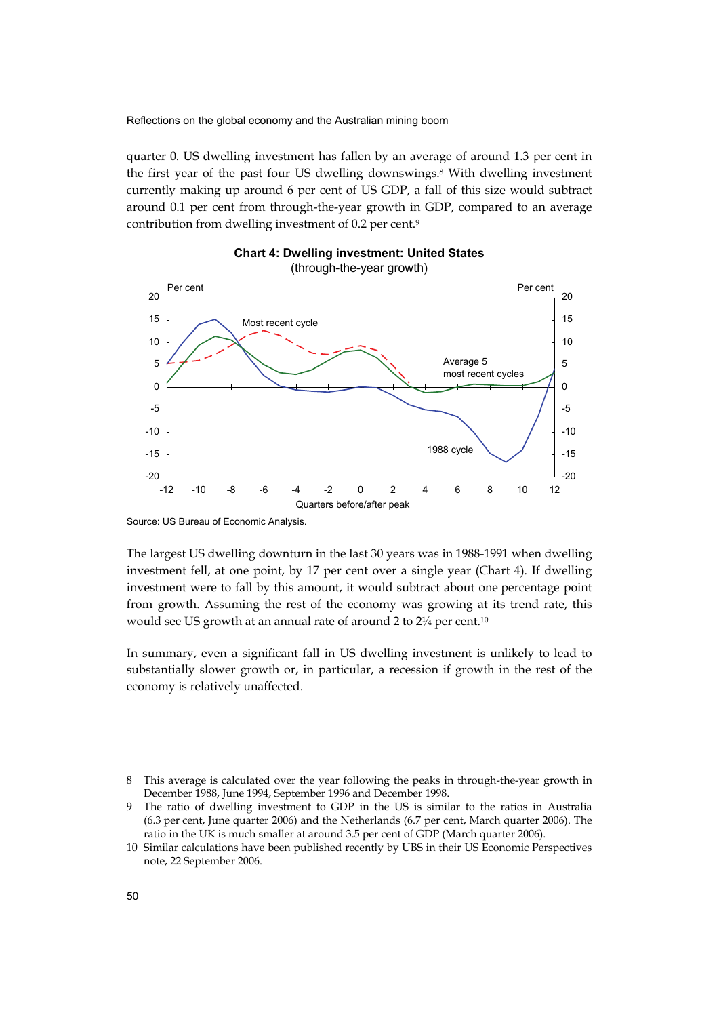quarter 0. US dwelling investment has fallen by an average of around 1.3 per cent in the first year of the past four US dwelling downswings.8 With dwelling investment currently making up around 6 per cent of US GDP, a fall of this size would subtract around 0.1 per cent from through-the-year growth in GDP, compared to an average contribution from dwelling investment of 0.2 per cent.9





The largest US dwelling downturn in the last 30 years was in 1988-1991 when dwelling investment fell, at one point, by 17 per cent over a single year (Chart 4). If dwelling investment were to fall by this amount, it would subtract about one percentage point from growth. Assuming the rest of the economy was growing at its trend rate, this would see US growth at an annual rate of around 2 to 2¼ per cent.10

In summary, even a significant fall in US dwelling investment is unlikely to lead to substantially slower growth or, in particular, a recession if growth in the rest of the economy is relatively unaffected.

j

Source: US Bureau of Economic Analysis.

<sup>8</sup> This average is calculated over the year following the peaks in through-the-year growth in December 1988, June 1994, September 1996 and December 1998.

<sup>9</sup> The ratio of dwelling investment to GDP in the US is similar to the ratios in Australia (6.3 per cent, June quarter 2006) and the Netherlands (6.7 per cent, March quarter 2006). The ratio in the UK is much smaller at around 3.5 per cent of GDP (March quarter 2006).

<sup>10</sup> Similar calculations have been published recently by UBS in their US Economic Perspectives note, 22 September 2006.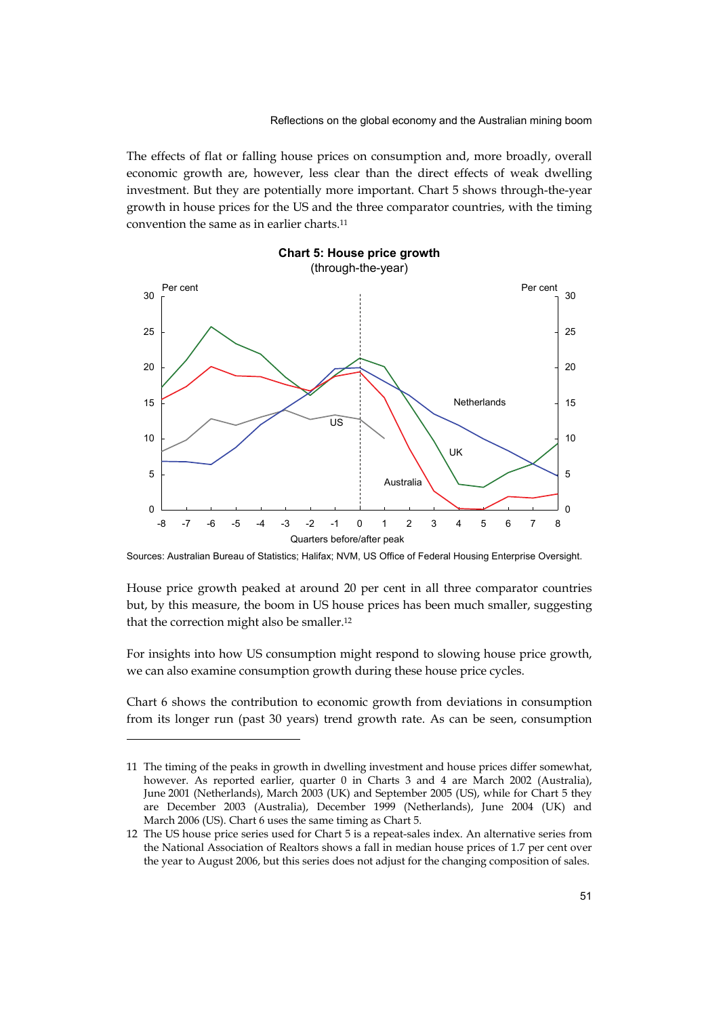The effects of flat or falling house prices on consumption and, more broadly, overall economic growth are, however, less clear than the direct effects of weak dwelling investment. But they are potentially more important. Chart 5 shows through-the-year growth in house prices for the US and the three comparator countries, with the timing convention the same as in earlier charts.11



## **Chart 5: House price growth**  (through-the-year)

Sources: Australian Bureau of Statistics; Halifax; NVM, US Office of Federal Housing Enterprise Oversight.

House price growth peaked at around 20 per cent in all three comparator countries but, by this measure, the boom in US house prices has been much smaller, suggesting that the correction might also be smaller.12

For insights into how US consumption might respond to slowing house price growth, we can also examine consumption growth during these house price cycles.

Chart 6 shows the contribution to economic growth from deviations in consumption from its longer run (past 30 years) trend growth rate. As can be seen, consumption

j

<sup>11</sup> The timing of the peaks in growth in dwelling investment and house prices differ somewhat, however. As reported earlier, quarter 0 in Charts 3 and 4 are March 2002 (Australia), June 2001 (Netherlands), March 2003 (UK) and September 2005 (US), while for Chart 5 they are December 2003 (Australia), December 1999 (Netherlands), June 2004 (UK) and March 2006 (US). Chart 6 uses the same timing as Chart 5.

<sup>12</sup> The US house price series used for Chart 5 is a repeat-sales index. An alternative series from the National Association of Realtors shows a fall in median house prices of 1.7 per cent over the year to August 2006, but this series does not adjust for the changing composition of sales.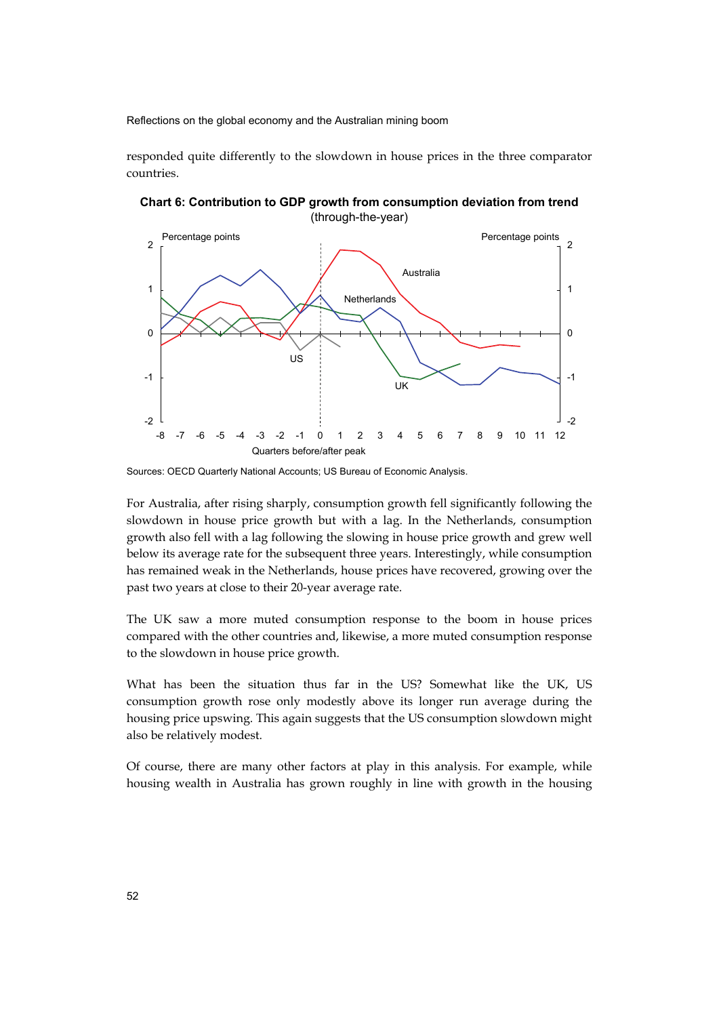responded quite differently to the slowdown in house prices in the three comparator countries.



**Chart 6: Contribution to GDP growth from consumption deviation from trend**  (through-the-year)

For Australia, after rising sharply, consumption growth fell significantly following the slowdown in house price growth but with a lag. In the Netherlands, consumption growth also fell with a lag following the slowing in house price growth and grew well below its average rate for the subsequent three years. Interestingly, while consumption has remained weak in the Netherlands, house prices have recovered, growing over the past two years at close to their 20-year average rate.

The UK saw a more muted consumption response to the boom in house prices compared with the other countries and, likewise, a more muted consumption response to the slowdown in house price growth.

What has been the situation thus far in the US? Somewhat like the UK, US consumption growth rose only modestly above its longer run average during the housing price upswing. This again suggests that the US consumption slowdown might also be relatively modest.

Of course, there are many other factors at play in this analysis. For example, while housing wealth in Australia has grown roughly in line with growth in the housing

Sources: OECD Quarterly National Accounts; US Bureau of Economic Analysis.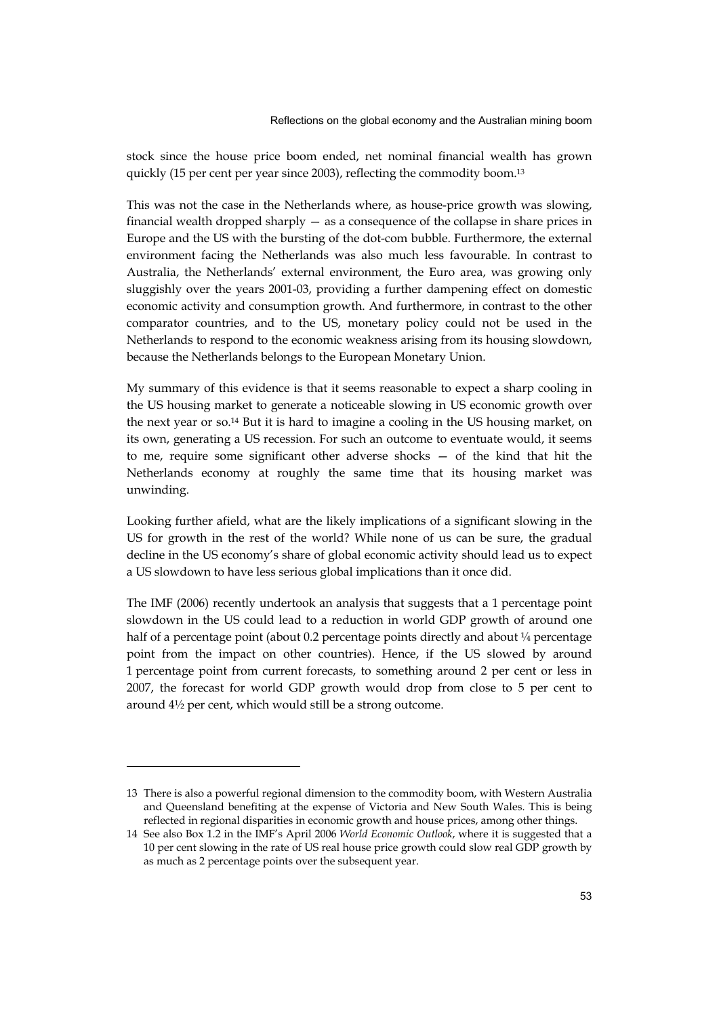stock since the house price boom ended, net nominal financial wealth has grown quickly (15 per cent per year since 2003), reflecting the commodity boom.13

This was not the case in the Netherlands where, as house-price growth was slowing, financial wealth dropped sharply — as a consequence of the collapse in share prices in Europe and the US with the bursting of the dot-com bubble. Furthermore, the external environment facing the Netherlands was also much less favourable. In contrast to Australia, the Netherlands' external environment, the Euro area, was growing only sluggishly over the years 2001-03, providing a further dampening effect on domestic economic activity and consumption growth. And furthermore, in contrast to the other comparator countries, and to the US, monetary policy could not be used in the Netherlands to respond to the economic weakness arising from its housing slowdown, because the Netherlands belongs to the European Monetary Union.

My summary of this evidence is that it seems reasonable to expect a sharp cooling in the US housing market to generate a noticeable slowing in US economic growth over the next year or so.14 But it is hard to imagine a cooling in the US housing market, on its own, generating a US recession. For such an outcome to eventuate would, it seems to me, require some significant other adverse shocks — of the kind that hit the Netherlands economy at roughly the same time that its housing market was unwinding.

Looking further afield, what are the likely implications of a significant slowing in the US for growth in the rest of the world? While none of us can be sure, the gradual decline in the US economy's share of global economic activity should lead us to expect a US slowdown to have less serious global implications than it once did.

The IMF (2006) recently undertook an analysis that suggests that a 1 percentage point slowdown in the US could lead to a reduction in world GDP growth of around one half of a percentage point (about 0.2 percentage points directly and about  $\frac{1}{4}$  percentage point from the impact on other countries). Hence, if the US slowed by around 1 percentage point from current forecasts, to something around 2 per cent or less in 2007, the forecast for world GDP growth would drop from close to 5 per cent to around 4½ per cent, which would still be a strong outcome.

<sup>13</sup> There is also a powerful regional dimension to the commodity boom, with Western Australia and Queensland benefiting at the expense of Victoria and New South Wales. This is being reflected in regional disparities in economic growth and house prices, among other things.

<sup>14</sup> See also Box 1.2 in the IMF's April 2006 *World Economic Outlook*, where it is suggested that a 10 per cent slowing in the rate of US real house price growth could slow real GDP growth by as much as 2 percentage points over the subsequent year.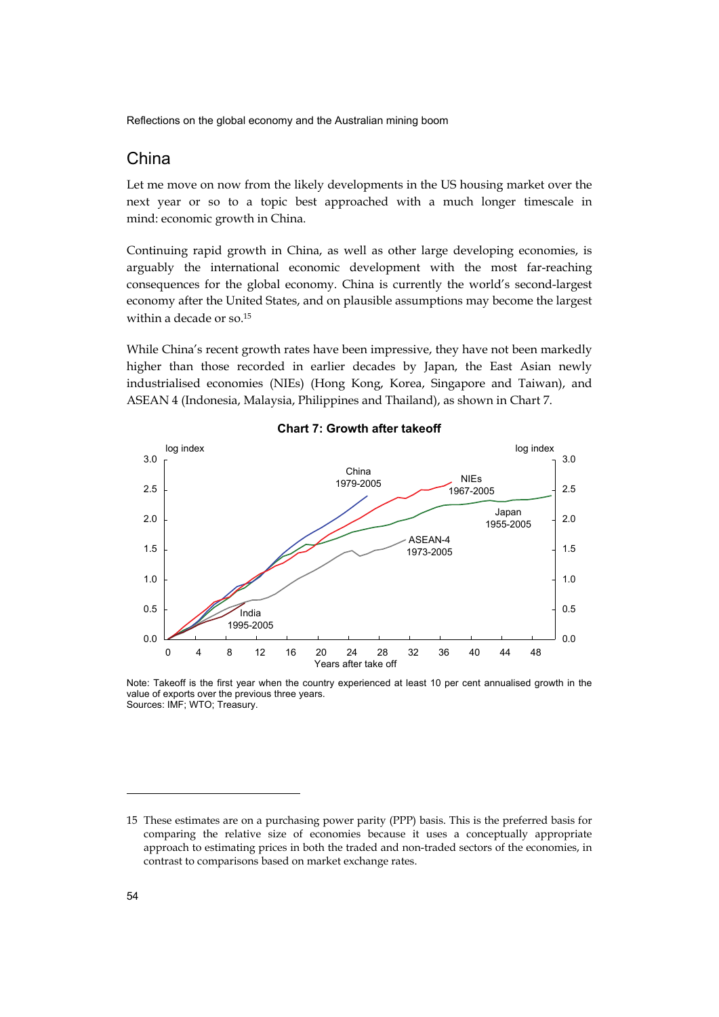## China

Let me move on now from the likely developments in the US housing market over the next year or so to a topic best approached with a much longer timescale in mind: economic growth in China.

Continuing rapid growth in China, as well as other large developing economies, is arguably the international economic development with the most far-reaching consequences for the global economy. China is currently the world's second-largest economy after the United States, and on plausible assumptions may become the largest within a decade or so.15

While China's recent growth rates have been impressive, they have not been markedly higher than those recorded in earlier decades by Japan, the East Asian newly industrialised economies (NIEs) (Hong Kong, Korea, Singapore and Taiwan), and ASEAN 4 (Indonesia, Malaysia, Philippines and Thailand), as shown in Chart 7.



#### **Chart 7: Growth after takeoff**

Note: Takeoff is the first year when the country experienced at least 10 per cent annualised growth in the value of exports over the previous three years. Sources: IMF; WTO; Treasury.

<sup>15</sup> These estimates are on a purchasing power parity (PPP) basis. This is the preferred basis for comparing the relative size of economies because it uses a conceptually appropriate approach to estimating prices in both the traded and non-traded sectors of the economies, in contrast to comparisons based on market exchange rates.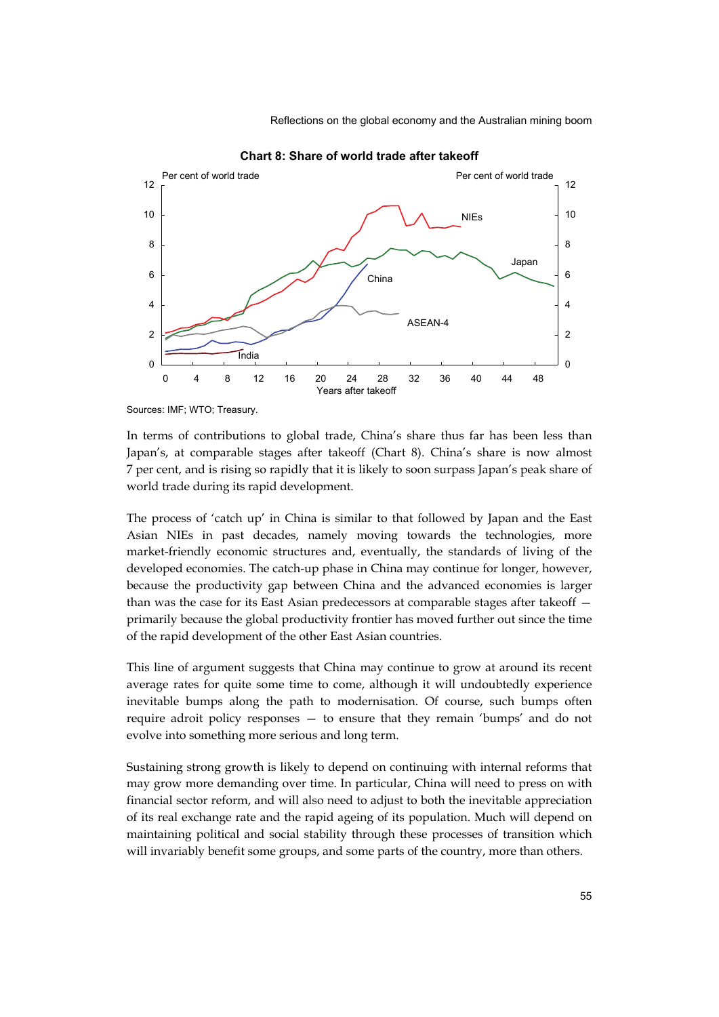

**Chart 8: Share of world trade after takeoff** 

Sources: IMF; WTO; Treasury.

In terms of contributions to global trade, China's share thus far has been less than Japan's, at comparable stages after takeoff (Chart 8). China's share is now almost 7 per cent, and is rising so rapidly that it is likely to soon surpass Japan's peak share of world trade during its rapid development.

The process of 'catch up' in China is similar to that followed by Japan and the East Asian NIEs in past decades, namely moving towards the technologies, more market-friendly economic structures and, eventually, the standards of living of the developed economies. The catch-up phase in China may continue for longer, however, because the productivity gap between China and the advanced economies is larger than was the case for its East Asian predecessors at comparable stages after takeoff primarily because the global productivity frontier has moved further out since the time of the rapid development of the other East Asian countries.

This line of argument suggests that China may continue to grow at around its recent average rates for quite some time to come, although it will undoubtedly experience inevitable bumps along the path to modernisation. Of course, such bumps often require adroit policy responses — to ensure that they remain 'bumps' and do not evolve into something more serious and long term.

Sustaining strong growth is likely to depend on continuing with internal reforms that may grow more demanding over time. In particular, China will need to press on with financial sector reform, and will also need to adjust to both the inevitable appreciation of its real exchange rate and the rapid ageing of its population. Much will depend on maintaining political and social stability through these processes of transition which will invariably benefit some groups, and some parts of the country, more than others.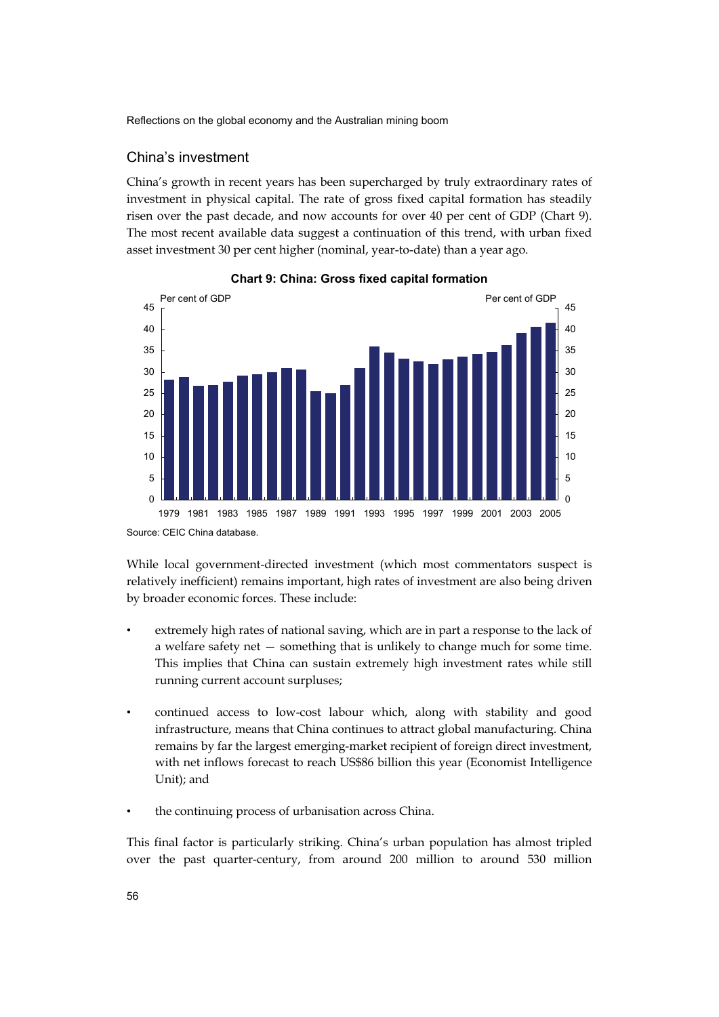#### China's investment

China's growth in recent years has been supercharged by truly extraordinary rates of investment in physical capital. The rate of gross fixed capital formation has steadily risen over the past decade, and now accounts for over 40 per cent of GDP (Chart 9). The most recent available data suggest a continuation of this trend, with urban fixed asset investment 30 per cent higher (nominal, year-to-date) than a year ago.





Source: CEIC China database.

While local government-directed investment (which most commentators suspect is relatively inefficient) remains important, high rates of investment are also being driven by broader economic forces. These include:

- extremely high rates of national saving, which are in part a response to the lack of a welfare safety net — something that is unlikely to change much for some time. This implies that China can sustain extremely high investment rates while still running current account surpluses;
- continued access to low-cost labour which, along with stability and good infrastructure, means that China continues to attract global manufacturing. China remains by far the largest emerging-market recipient of foreign direct investment, with net inflows forecast to reach US\$86 billion this year (Economist Intelligence Unit); and
- the continuing process of urbanisation across China.

This final factor is particularly striking. China's urban population has almost tripled over the past quarter-century, from around 200 million to around 530 million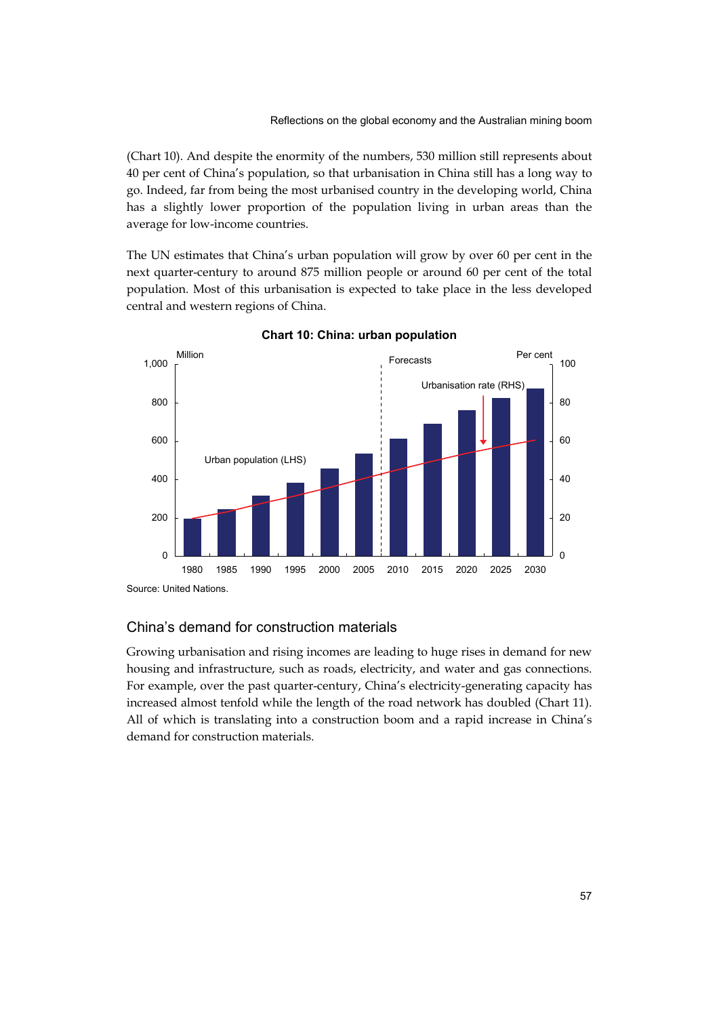(Chart 10). And despite the enormity of the numbers, 530 million still represents about 40 per cent of China's population, so that urbanisation in China still has a long way to go. Indeed, far from being the most urbanised country in the developing world, China has a slightly lower proportion of the population living in urban areas than the average for low-income countries.

The UN estimates that China's urban population will grow by over 60 per cent in the next quarter-century to around 875 million people or around 60 per cent of the total population. Most of this urbanisation is expected to take place in the less developed central and western regions of China.



**Chart 10: China: urban population** 

#### China's demand for construction materials

Growing urbanisation and rising incomes are leading to huge rises in demand for new housing and infrastructure, such as roads, electricity, and water and gas connections. For example, over the past quarter-century, China's electricity-generating capacity has increased almost tenfold while the length of the road network has doubled (Chart 11). All of which is translating into a construction boom and a rapid increase in China's demand for construction materials.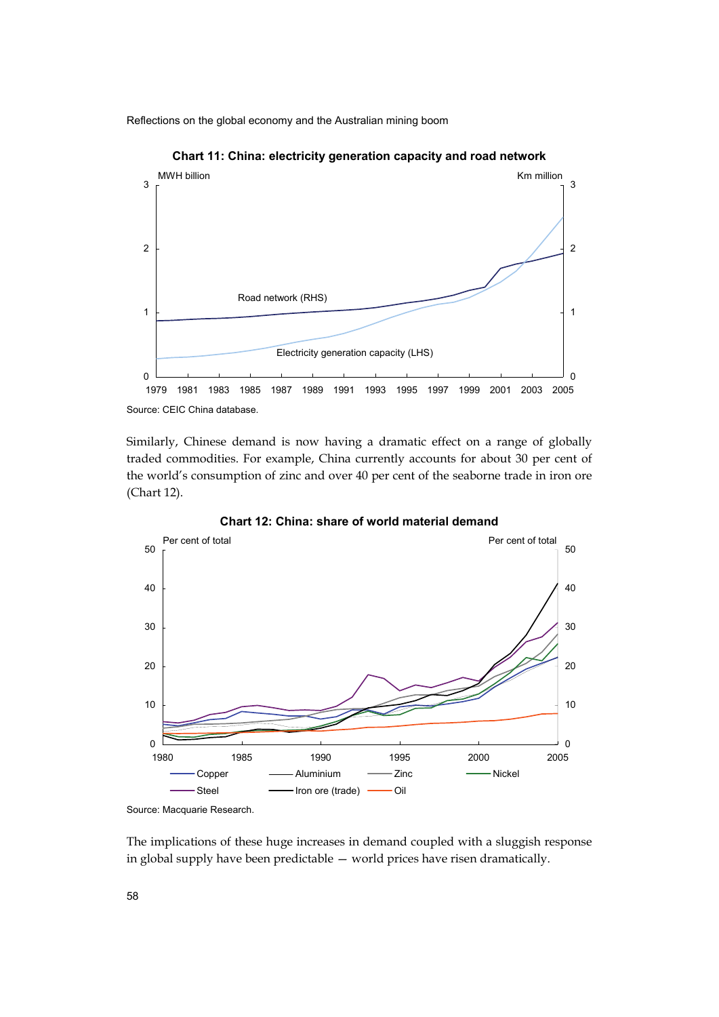

**Chart 11: China: electricity generation capacity and road network** 

Similarly, Chinese demand is now having a dramatic effect on a range of globally traded commodities. For example, China currently accounts for about 30 per cent of

the world's consumption of zinc and over 40 per cent of the seaborne trade in iron ore (Chart 12). **Chart 12: China: share of world material demand**  Per cent of total Per cent of total Per cent of total



Source: Macquarie Research.

The implications of these huge increases in demand coupled with a sluggish response in global supply have been predictable — world prices have risen dramatically.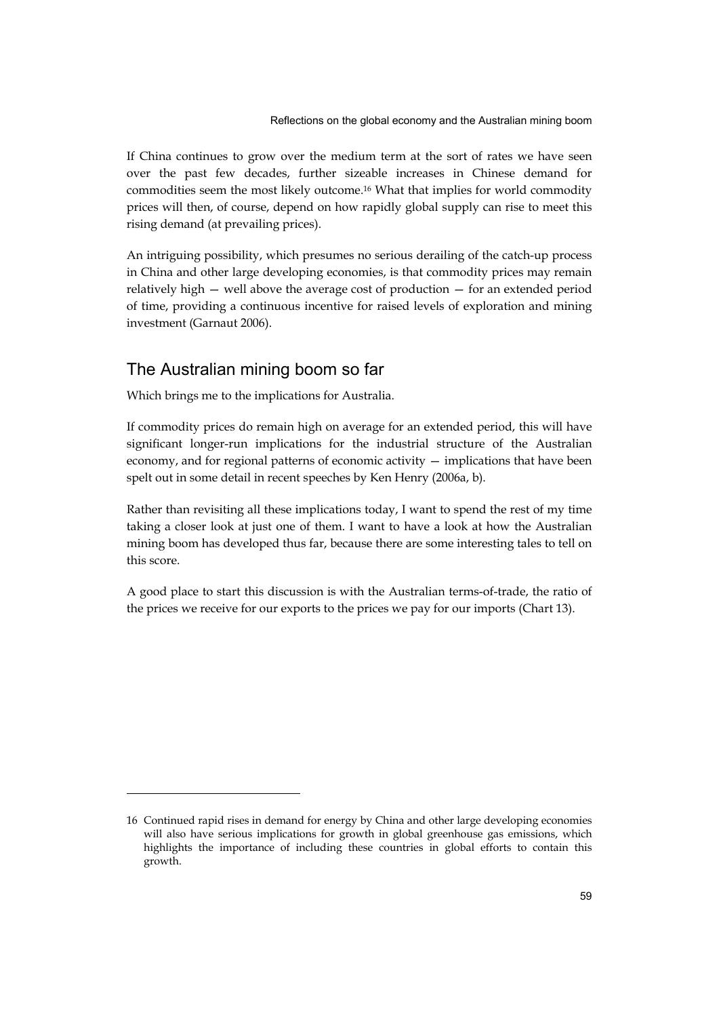If China continues to grow over the medium term at the sort of rates we have seen over the past few decades, further sizeable increases in Chinese demand for commodities seem the most likely outcome.16 What that implies for world commodity prices will then, of course, depend on how rapidly global supply can rise to meet this rising demand (at prevailing prices).

An intriguing possibility, which presumes no serious derailing of the catch-up process in China and other large developing economies, is that commodity prices may remain relatively high — well above the average cost of production — for an extended period of time, providing a continuous incentive for raised levels of exploration and mining investment (Garnaut 2006).

## The Australian mining boom so far

-

Which brings me to the implications for Australia.

If commodity prices do remain high on average for an extended period, this will have significant longer-run implications for the industrial structure of the Australian economy, and for regional patterns of economic activity — implications that have been spelt out in some detail in recent speeches by Ken Henry (2006a, b).

Rather than revisiting all these implications today, I want to spend the rest of my time taking a closer look at just one of them. I want to have a look at how the Australian mining boom has developed thus far, because there are some interesting tales to tell on this score.

A good place to start this discussion is with the Australian terms-of-trade, the ratio of the prices we receive for our exports to the prices we pay for our imports (Chart 13).

<sup>16</sup> Continued rapid rises in demand for energy by China and other large developing economies will also have serious implications for growth in global greenhouse gas emissions, which highlights the importance of including these countries in global efforts to contain this growth.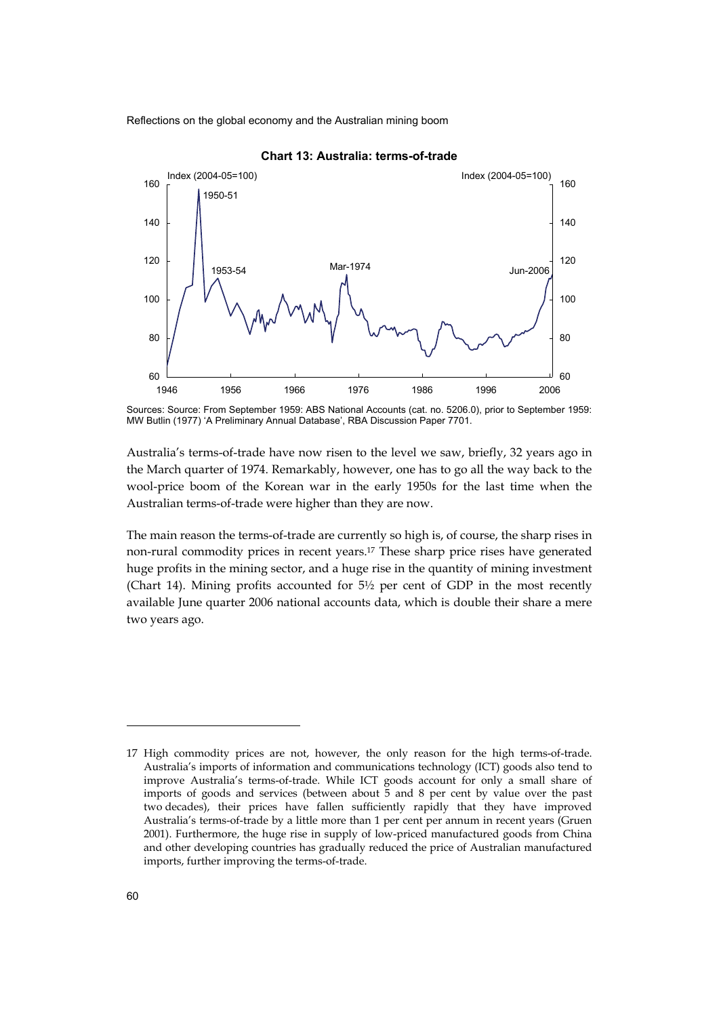

**Chart 13: Australia: terms-of-trade** 

Australia's terms-of-trade have now risen to the level we saw, briefly, 32 years ago in the March quarter of 1974. Remarkably, however, one has to go all the way back to the wool-price boom of the Korean war in the early 1950s for the last time when the Australian terms-of-trade were higher than they are now.

The main reason the terms-of-trade are currently so high is, of course, the sharp rises in non-rural commodity prices in recent years.17 These sharp price rises have generated huge profits in the mining sector, and a huge rise in the quantity of mining investment (Chart 14). Mining profits accounted for  $5\frac{1}{2}$  per cent of GDP in the most recently available June quarter 2006 national accounts data, which is double their share a mere two years ago.

Sources: Source: From September 1959: ABS National Accounts (cat. no. 5206.0), prior to September 1959: MW Butlin (1977) 'A Preliminary Annual Database', RBA Discussion Paper 7701.

<sup>17</sup> High commodity prices are not, however, the only reason for the high terms-of-trade. Australia's imports of information and communications technology (ICT) goods also tend to improve Australia's terms-of-trade. While ICT goods account for only a small share of imports of goods and services (between about 5 and 8 per cent by value over the past two decades), their prices have fallen sufficiently rapidly that they have improved Australia's terms-of-trade by a little more than 1 per cent per annum in recent years (Gruen 2001). Furthermore, the huge rise in supply of low-priced manufactured goods from China and other developing countries has gradually reduced the price of Australian manufactured imports, further improving the terms-of-trade.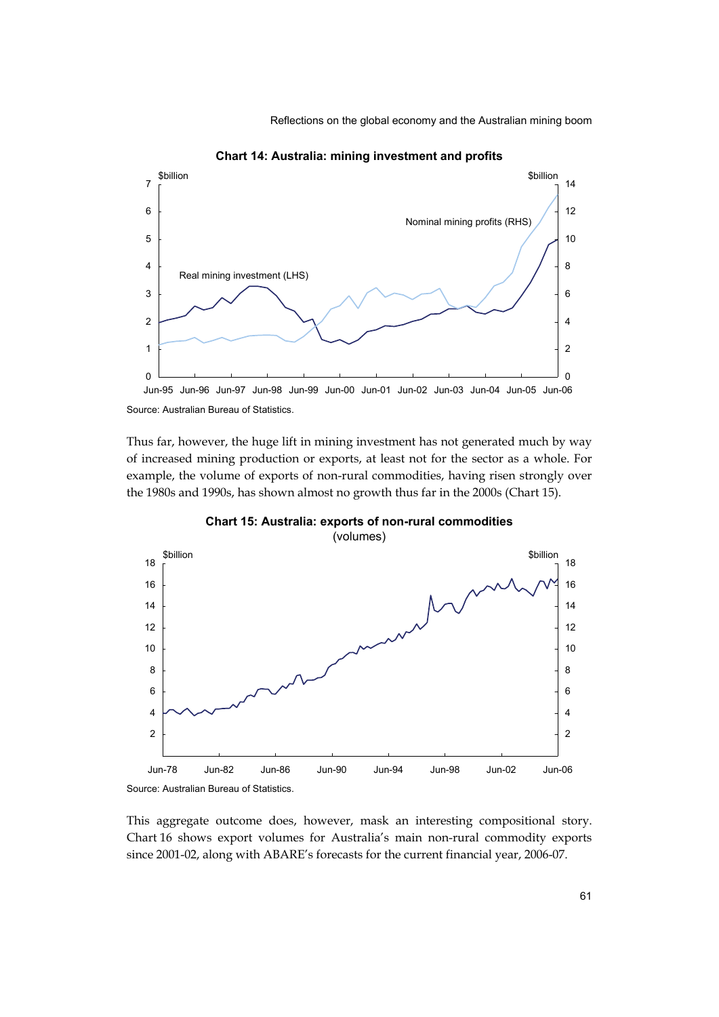

**Chart 14: Australia: mining investment and profits** 

Thus far, however, the huge lift in mining investment has not generated much by way of increased mining production or exports, at least not for the sector as a whole. For example, the volume of exports of non-rural commodities, having risen strongly over the 1980s and 1990s, has shown almost no growth thus far in the 2000s (Chart 15).



**Chart 15: Australia: exports of non-rural commodities**  (volumes)

This aggregate outcome does, however, mask an interesting compositional story. Chart 16 shows export volumes for Australia's main non-rural commodity exports since 2001-02, along with ABARE's forecasts for the current financial year, 2006-07.

Source: Australian Bureau of Statistics.

Source: Australian Bureau of Statistics.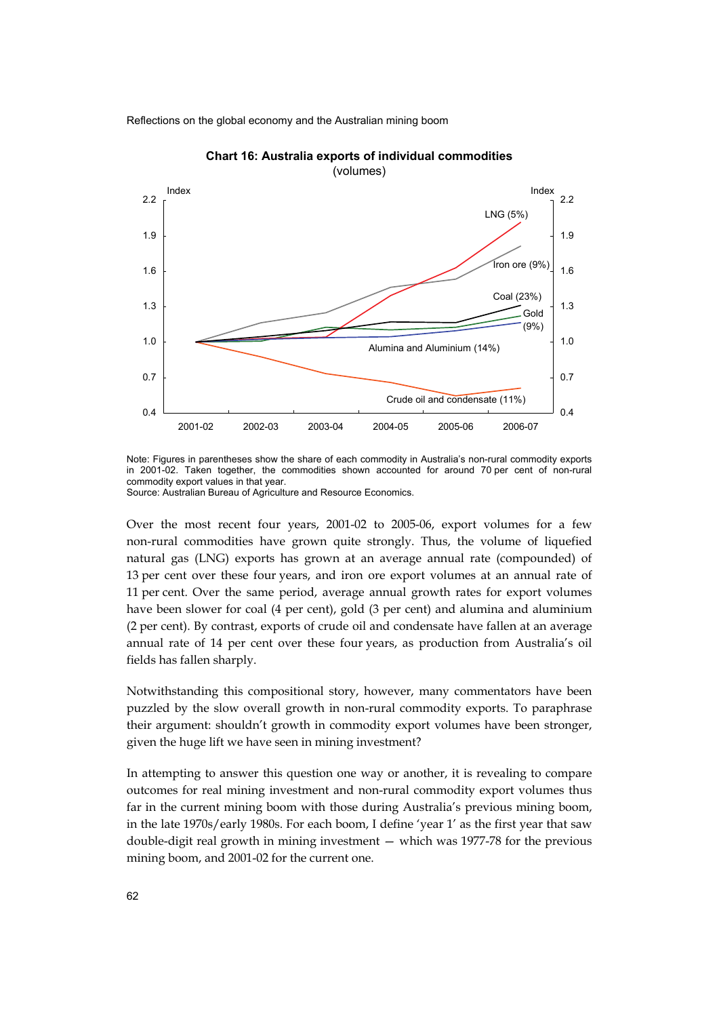

**Chart 16: Australia exports of individual commodities** 

Note: Figures in parentheses show the share of each commodity in Australia's non-rural commodity exports in 2001-02. Taken together, the commodities shown accounted for around 70 per cent of non-rural commodity export values in that year. Source: Australian Bureau of Agriculture and Resource Economics.

Over the most recent four years, 2001-02 to 2005-06, export volumes for a few non-rural commodities have grown quite strongly. Thus, the volume of liquefied natural gas (LNG) exports has grown at an average annual rate (compounded) of 13 per cent over these four years, and iron ore export volumes at an annual rate of 11 per cent. Over the same period, average annual growth rates for export volumes have been slower for coal (4 per cent), gold (3 per cent) and alumina and aluminium (2 per cent). By contrast, exports of crude oil and condensate have fallen at an average annual rate of 14 per cent over these four years, as production from Australia's oil fields has fallen sharply.

Notwithstanding this compositional story, however, many commentators have been puzzled by the slow overall growth in non-rural commodity exports. To paraphrase their argument: shouldn't growth in commodity export volumes have been stronger, given the huge lift we have seen in mining investment?

In attempting to answer this question one way or another, it is revealing to compare outcomes for real mining investment and non-rural commodity export volumes thus far in the current mining boom with those during Australia's previous mining boom, in the late 1970s/early 1980s. For each boom, I define 'year 1' as the first year that saw double-digit real growth in mining investment — which was 1977-78 for the previous mining boom, and 2001-02 for the current one.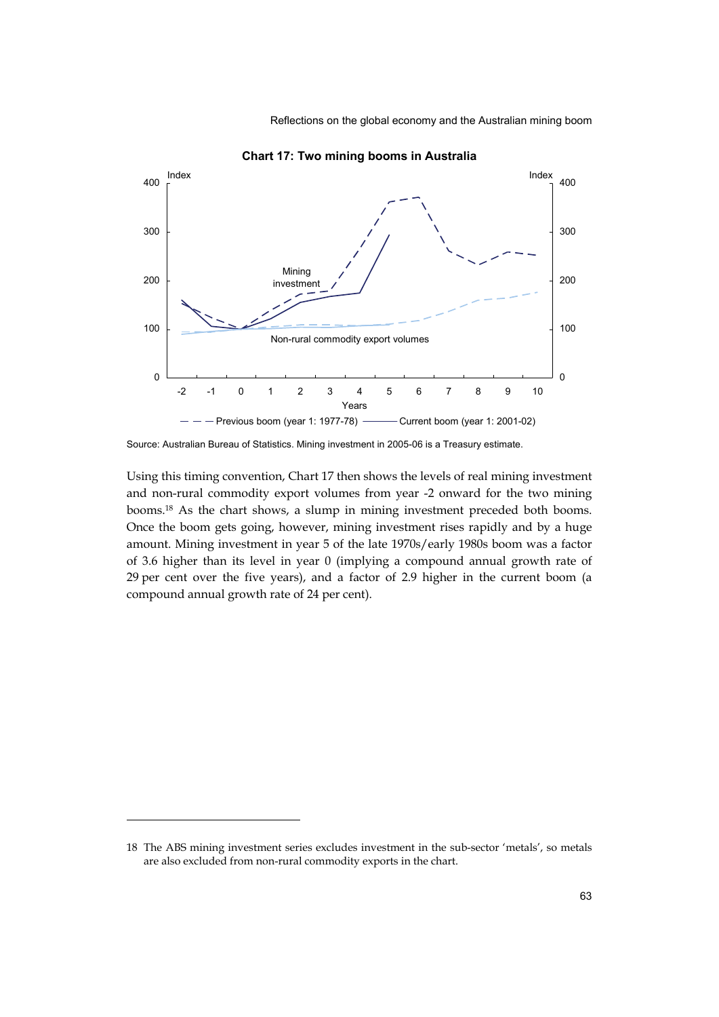

**Chart 17: Two mining booms in Australia** 

Using this timing convention, Chart 17 then shows the levels of real mining investment and non-rural commodity export volumes from year -2 onward for the two mining booms.18 As the chart shows, a slump in mining investment preceded both booms. Once the boom gets going, however, mining investment rises rapidly and by a huge amount. Mining investment in year 5 of the late 1970s/early 1980s boom was a factor of 3.6 higher than its level in year 0 (implying a compound annual growth rate of 29 per cent over the five years), and a factor of 2.9 higher in the current boom (a compound annual growth rate of 24 per cent).

Source: Australian Bureau of Statistics. Mining investment in 2005-06 is a Treasury estimate.

<sup>18</sup> The ABS mining investment series excludes investment in the sub-sector 'metals', so metals are also excluded from non-rural commodity exports in the chart.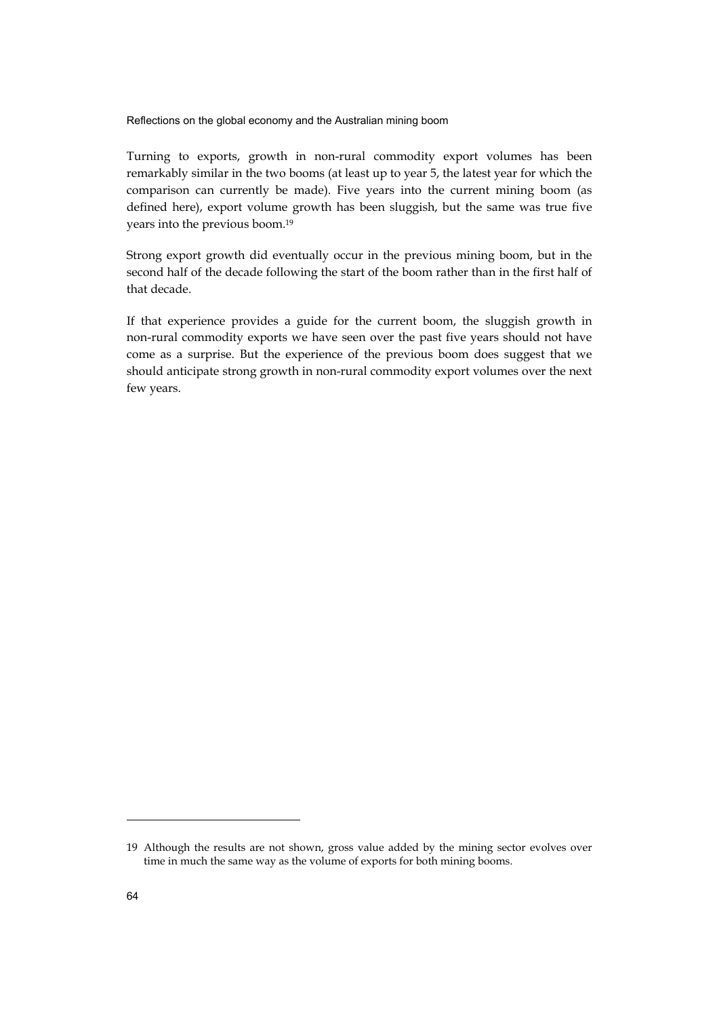Turning to exports, growth in non-rural commodity export volumes has been remarkably similar in the two booms (at least up to year 5, the latest year for which the comparison can currently be made). Five years into the current mining boom (as defined here), export volume growth has been sluggish, but the same was true five years into the previous boom.19

Strong export growth did eventually occur in the previous mining boom, but in the second half of the decade following the start of the boom rather than in the first half of that decade.

If that experience provides a guide for the current boom, the sluggish growth in non-rural commodity exports we have seen over the past five years should not have come as a surprise. But the experience of the previous boom does suggest that we should anticipate strong growth in non-rural commodity export volumes over the next few years.

<sup>19</sup> Although the results are not shown, gross value added by the mining sector evolves over time in much the same way as the volume of exports for both mining booms.